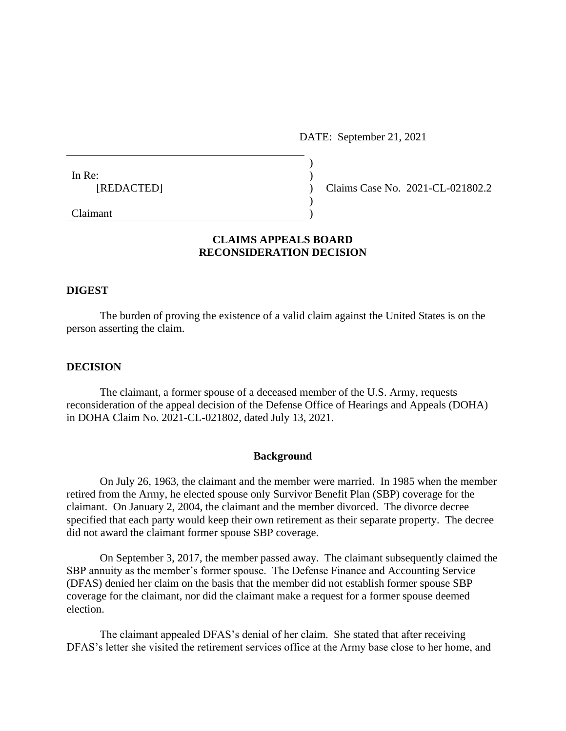DATE: September 21, 2021

| In Re:     |  |
|------------|--|
| [REDACTED] |  |
|            |  |
| Claimant   |  |

) Claims Case No. 2021-CL-021802.2

# **CLAIMS APPEALS BOARD RECONSIDERATION DECISION**

# **DIGEST**

The burden of proving the existence of a valid claim against the United States is on the person asserting the claim.

### **DECISION**

The claimant, a former spouse of a deceased member of the U.S. Army, requests reconsideration of the appeal decision of the Defense Office of Hearings and Appeals (DOHA) in DOHA Claim No. 2021-CL-021802, dated July 13, 2021.

#### **Background**

On July 26, 1963, the claimant and the member were married. In 1985 when the member retired from the Army, he elected spouse only Survivor Benefit Plan (SBP) coverage for the claimant. On January 2, 2004, the claimant and the member divorced. The divorce decree specified that each party would keep their own retirement as their separate property. The decree did not award the claimant former spouse SBP coverage.

On September 3, 2017, the member passed away. The claimant subsequently claimed the SBP annuity as the member's former spouse. The Defense Finance and Accounting Service (DFAS) denied her claim on the basis that the member did not establish former spouse SBP coverage for the claimant, nor did the claimant make a request for a former spouse deemed election.

The claimant appealed DFAS's denial of her claim. She stated that after receiving DFAS's letter she visited the retirement services office at the Army base close to her home, and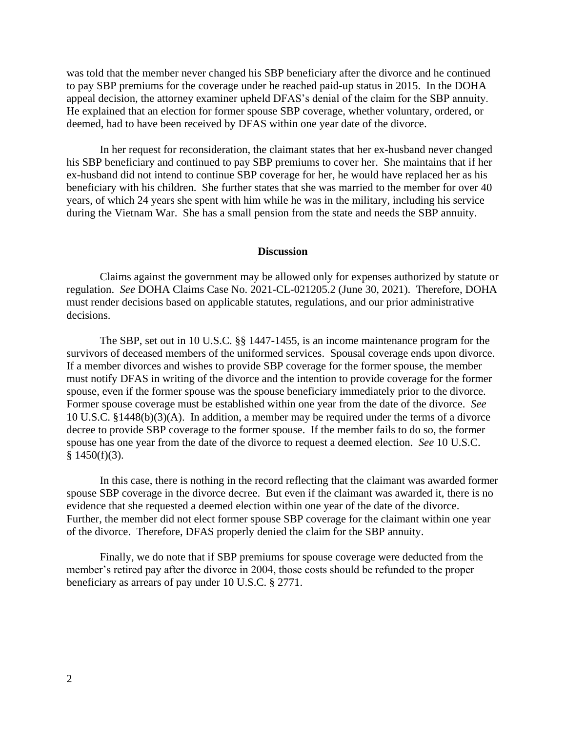was told that the member never changed his SBP beneficiary after the divorce and he continued to pay SBP premiums for the coverage under he reached paid-up status in 2015. In the DOHA appeal decision, the attorney examiner upheld DFAS's denial of the claim for the SBP annuity. He explained that an election for former spouse SBP coverage, whether voluntary, ordered, or deemed, had to have been received by DFAS within one year date of the divorce.

In her request for reconsideration, the claimant states that her ex-husband never changed his SBP beneficiary and continued to pay SBP premiums to cover her. She maintains that if her ex-husband did not intend to continue SBP coverage for her, he would have replaced her as his beneficiary with his children. She further states that she was married to the member for over 40 years, of which 24 years she spent with him while he was in the military, including his service during the Vietnam War. She has a small pension from the state and needs the SBP annuity.

#### **Discussion**

Claims against the government may be allowed only for expenses authorized by statute or regulation. *See* DOHA Claims Case No. 2021-CL-021205.2 (June 30, 2021). Therefore, DOHA must render decisions based on applicable statutes, regulations, and our prior administrative decisions.

The SBP, set out in 10 U.S.C. §§ 1447-1455, is an income maintenance program for the survivors of deceased members of the uniformed services. Spousal coverage ends upon divorce. If a member divorces and wishes to provide SBP coverage for the former spouse, the member must notify DFAS in writing of the divorce and the intention to provide coverage for the former spouse, even if the former spouse was the spouse beneficiary immediately prior to the divorce. Former spouse coverage must be established within one year from the date of the divorce. *See* 10 U.S.C. §1448(b)(3)(A). In addition, a member may be required under the terms of a divorce decree to provide SBP coverage to the former spouse. If the member fails to do so, the former spouse has one year from the date of the divorce to request a deemed election. *See* 10 U.S.C.  $§$  1450(f)(3).

In this case, there is nothing in the record reflecting that the claimant was awarded former spouse SBP coverage in the divorce decree. But even if the claimant was awarded it, there is no evidence that she requested a deemed election within one year of the date of the divorce. Further, the member did not elect former spouse SBP coverage for the claimant within one year of the divorce. Therefore, DFAS properly denied the claim for the SBP annuity.

Finally, we do note that if SBP premiums for spouse coverage were deducted from the member's retired pay after the divorce in 2004, those costs should be refunded to the proper beneficiary as arrears of pay under 10 U.S.C. § 2771.